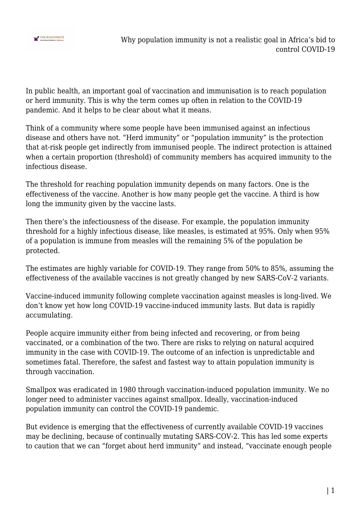

In public health, an important goal of vaccination and immunisation is to reach population or herd immunity. This is why the term comes up often in relation to the COVID-19 pandemic. And it helps to be clear about what it means.

Think of a community where some people have been immunised against an infectious disease and others have not. "Herd immunity" or "population immunity" is the protection that at-risk people get indirectly from immunised people. The indirect protection is attained when a certain proportion (threshold) of community members has acquired immunity to the infectious disease.

The threshold for reaching population immunity depends on many factors. One is the effectiveness of the vaccine. Another is how many people get the vaccine. A third is how long the immunity given by the vaccine lasts.

Then there's the infectiousness of the disease. For example, the population immunity threshold for a highly infectious disease, like measles, is estimated at 95%. Only when 95% of a population is immune from measles will the remaining 5% of the population be protected.

The estimates are highly variable for COVID-19. They range from 50% to 85%, assuming the effectiveness of the available vaccines is not greatly changed by new SARS-CoV-2 variants.

Vaccine-induced immunity following complete vaccination against measles is long-lived. We don't know yet how long COVID-19 vaccine-induced immunity lasts. But data is rapidly accumulating.

People acquire immunity either from being infected and recovering, or from being vaccinated, or a combination of the two. There are risks to relying on natural acquired immunity in the case with COVID-19. The outcome of an infection is unpredictable and sometimes fatal. Therefore, the safest and fastest way to attain population immunity is through vaccination.

Smallpox was eradicated in 1980 through vaccination-induced population immunity. We no longer need to administer vaccines against smallpox. Ideally, vaccination-induced population immunity can control the COVID-19 pandemic.

But evidence is emerging that the effectiveness of currently available COVID-19 vaccines may be declining, because of continually mutating SARS-COV-2. This has led some experts to caution that we can "forget about herd immunity" and instead, "vaccinate enough people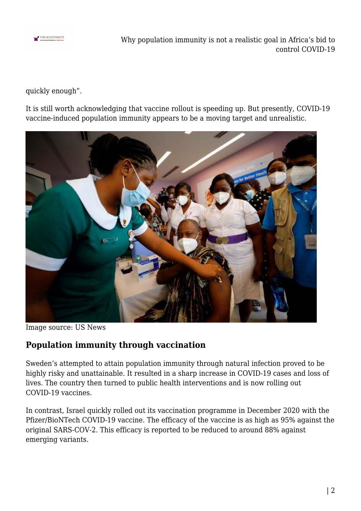

Why population immunity is not a realistic goal in Africa's bid to control COVID-19

quickly enough".

It is still worth acknowledging that vaccine rollout is speeding up. But presently, COVID-19 vaccine-induced population immunity appears to be a moving target and unrealistic.



Image source: US News

## **Population immunity through vaccination**

Sweden's attempted to attain population immunity through natural infection proved to be highly risky and unattainable. It resulted in a sharp increase in COVID-19 cases and loss of lives. The country then turned to public health interventions and is now rolling out COVID-19 vaccines.

In contrast, Israel quickly rolled out its vaccination programme in December 2020 with the Pfizer/BioNTech COVID-19 vaccine. The efficacy of the vaccine is as high as 95% against the original SARS-COV-2. This efficacy is reported to be reduced to around 88% against emerging variants.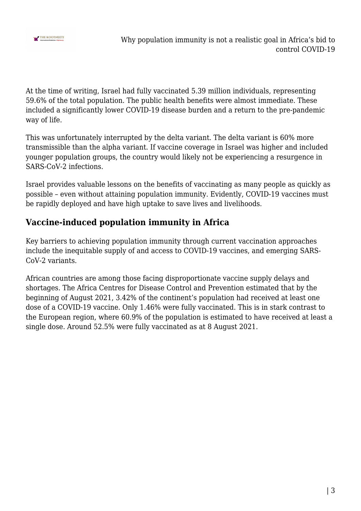

At the time of writing, Israel had fully vaccinated 5.39 million individuals, representing 59.6% of the total population. The public health benefits were almost immediate. These included a significantly lower COVID-19 disease burden and a return to the pre-pandemic way of life.

This was unfortunately interrupted by the delta variant. The delta variant is 60% more transmissible than the alpha variant. If vaccine coverage in Israel was higher and included younger population groups, the country would likely not be experiencing a resurgence in SARS-CoV-2 infections.

Israel provides valuable lessons on the benefits of vaccinating as many people as quickly as possible – even without attaining population immunity. Evidently, COVID-19 vaccines must be rapidly deployed and have high uptake to save lives and livelihoods.

## **Vaccine-induced population immunity in Africa**

Key barriers to achieving population immunity through current vaccination approaches include the inequitable supply of and access to COVID-19 vaccines, and emerging SARS-CoV-2 variants.

African countries are among those facing disproportionate vaccine supply delays and shortages. The Africa Centres for Disease Control and Prevention estimated that by the beginning of August 2021, 3.42% of the continent's population had received at least one dose of a COVID-19 vaccine. Only 1.46% were fully vaccinated. This is in stark contrast to the European region, where 60.9% of the population is estimated to have received at least a single dose. Around 52.5% were fully vaccinated as at 8 August 2021.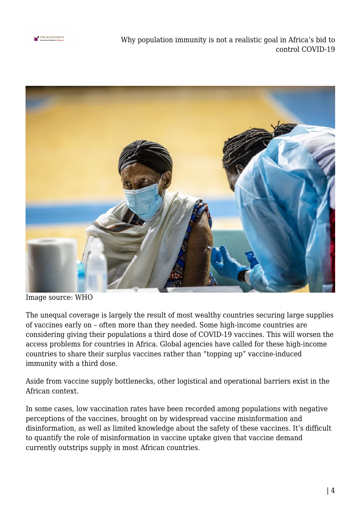

Why population immunity is not a realistic goal in Africa's bid to control COVID-19



Image source: WHO

The unequal coverage is largely the result of most wealthy countries securing large supplies of vaccines early on – often more than they needed. Some high-income countries are considering giving their populations a third dose of COVID-19 vaccines. This will worsen the access problems for countries in Africa. Global agencies have called for these high-income countries to share their surplus vaccines rather than "topping up" vaccine-induced immunity with a third dose.

Aside from vaccine supply bottlenecks, other logistical and operational barriers exist in the African context.

In some cases, low vaccination rates have been recorded among populations with negative perceptions of the vaccines, brought on by widespread vaccine misinformation and disinformation, as well as limited knowledge about the safety of these vaccines. It's difficult to quantify the role of misinformation in vaccine uptake given that vaccine demand currently outstrips supply in most African countries.